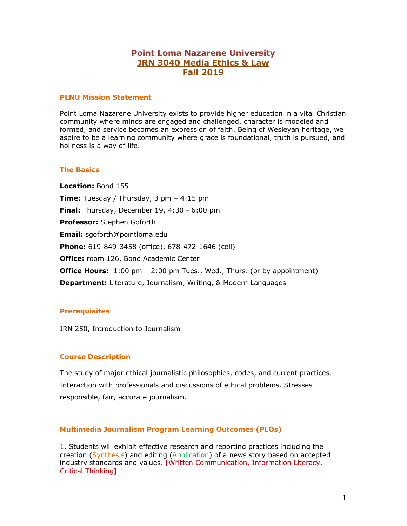# **Point Loma Nazarene University JRN 3040 Media Ethics & Law Fall 2019**

#### **PLNU Mission Statement**

Point Loma Nazarene University exists to provide higher education in a vital Christian community where minds are engaged and challenged, character is modeled and formed, and service becomes an expression of faith. Being of Wesleyan heritage, we aspire to be a learning community where grace is foundational, truth is pursued, and holiness is a way of life.

#### **The Basics**

**Location:** Bond 155 **Time:** Tuesday / Thursday, 3 pm – 4:15 pm **Final:** Thursday, December 19, 4:30 - 6:00 pm **Professor:** Stephen Goforth **Email:** sgoforth@pointloma.edu **Phone:** 619-849-3458 (office), 678-472-1646 (cell) **Office:** room 126, Bond Academic Center **Office Hours:** 1:00 pm - 2:00 pm Tues., Wed., Thurs. (or by appointment) **Department:** Literature, Journalism, Writing, & Modern Languages

# **Prerequisites**

JRN 250, Introduction to Journalism

# **Course Description**

The study of major ethical journalistic philosophies, codes, and current practices. Interaction with professionals and discussions of ethical problems. Stresses responsible, fair, accurate journalism.

# **Multimedia Journalism Program Learning Outcomes (PLOs)**

1. Students will exhibit effective research and reporting practices including the creation (Synthesis) and editing (Application) of a news story based on accepted industry standards and values. [Written Communication, Information Literacy, Critical Thinking]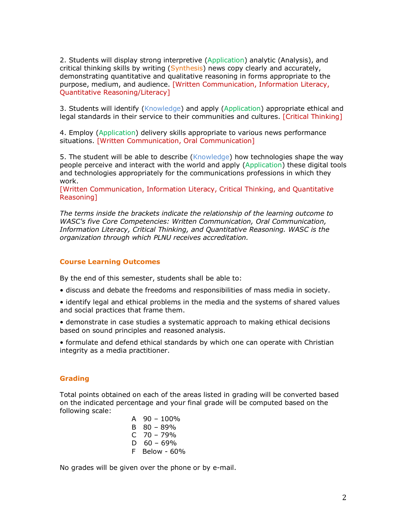2. Students will display strong interpretive (Application) analytic (Analysis), and critical thinking skills by writing (Synthesis) news copy clearly and accurately, demonstrating quantitative and qualitative reasoning in forms appropriate to the purpose, medium, and audience. [Written Communication, Information Literacy, Quantitative Reasoning/Literacy]

3. Students will identify (Knowledge) and apply (Application) appropriate ethical and legal standards in their service to their communities and cultures. [Critical Thinking]

4. Employ (Application) delivery skills appropriate to various news performance situations. [Written Communication, Oral Communication]

5. The student will be able to describe (Knowledge) how technologies shape the way people perceive and interact with the world and apply (Application) these digital tools and technologies appropriately for the communications professions in which they work.

[Written Communication, Information Literacy, Critical Thinking, and Quantitative Reasoning]

*The terms inside the brackets indicate the relationship of the learning outcome to WASC's five Core Competencies: Written Communication, Oral Communication, Information Literacy, Critical Thinking, and Quantitative Reasoning. WASC is the organization through which PLNU receives accreditation.* 

#### **Course Learning Outcomes**

By the end of this semester, students shall be able to:

- discuss and debate the freedoms and responsibilities of mass media in society.
- identify legal and ethical problems in the media and the systems of shared values and social practices that frame them.
- demonstrate in case studies a systematic approach to making ethical decisions based on sound principles and reasoned analysis.

• formulate and defend ethical standards by which one can operate with Christian integrity as a media practitioner.

#### **Grading**

Total points obtained on each of the areas listed in grading will be converted based on the indicated percentage and your final grade will be computed based on the following scale:

| А  | 90 - 100%   |
|----|-------------|
| B  | $80 - 89%$  |
|    | C 70 – 79%  |
| D  | $60 - 69%$  |
| F. | Below - 60% |

No grades will be given over the phone or by e-mail.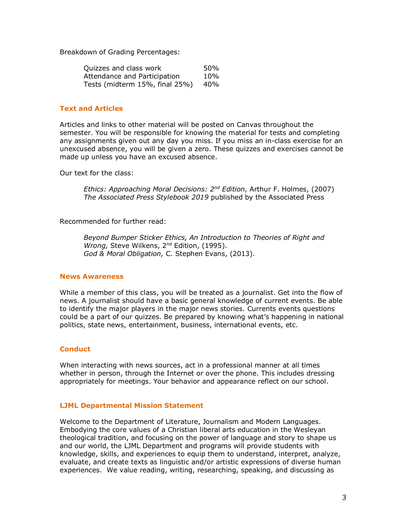Breakdown of Grading Percentages:

| Quizzes and class work         | 50% |
|--------------------------------|-----|
| Attendance and Participation   | 10% |
| Tests (midterm 15%, final 25%) | 40% |

# **Text and Articles**

Articles and links to other material will be posted on Canvas throughout the semester. You will be responsible for knowing the material for tests and completing any assignments given out any day you miss. If you miss an in-class exercise for an unexcused absence, you will be given a zero. These quizzes and exercises cannot be made up unless you have an excused absence.

Our text for the class:

*Ethics: Approaching Moral Decisions: 2nd Edition*, Arthur F. Holmes, (2007) *The Associated Press Stylebook 2019* published by the Associated Press

Recommended for further read:

*Beyond Bumper Sticker Ethics, An Introduction to Theories of Right and Wrong,* Steve Wilkens, 2nd Edition, (1995). *God & Moral Obligation,* C. Stephen Evans, (2013).

#### **News Awareness**

While a member of this class, you will be treated as a journalist. Get into the flow of news. A journalist should have a basic general knowledge of current events. Be able to identify the major players in the major news stories. Currents events questions could be a part of our quizzes. Be prepared by knowing what's happening in national politics, state news, entertainment, business, international events, etc.

# **Conduct**

When interacting with news sources, act in a professional manner at all times whether in person, through the Internet or over the phone. This includes dressing appropriately for meetings. Your behavior and appearance reflect on our school.

# **LJML Departmental Mission Statement**

Welcome to the Department of Literature, Journalism and Modern Languages. Embodying the core values of a Christian liberal arts education in the Wesleyan theological tradition, and focusing on the power of language and story to shape us and our world, the LJML Department and programs will provide students with knowledge, skills, and experiences to equip them to understand, interpret, analyze, evaluate, and create texts as linguistic and/or artistic expressions of diverse human experiences. We value reading, writing, researching, speaking, and discussing as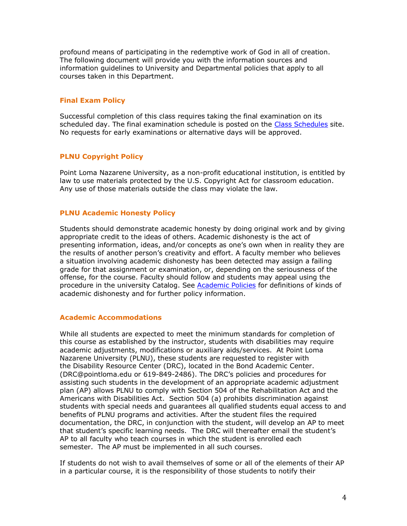profound means of participating in the redemptive work of God in all of creation. The following document will provide you with the information sources and information guidelines to University and Departmental policies that apply to all courses taken in this Department.

# **Final Exam Policy**

Successful completion of this class requires taking the final examination on its scheduled day. The final examination schedule is posted on the Class Schedules site. No requests for early examinations or alternative days will be approved.

# **PLNU Copyright Policy**

Point Loma Nazarene University, as a non-profit educational institution, is entitled by law to use materials protected by the U.S. Copyright Act for classroom education. Any use of those materials outside the class may violate the law.

# **PLNU Academic Honesty Policy**

Students should demonstrate academic honesty by doing original work and by giving appropriate credit to the ideas of others. Academic dishonesty is the act of presenting information, ideas, and/or concepts as one's own when in reality they are the results of another person's creativity and effort. A faculty member who believes a situation involving academic dishonesty has been detected may assign a failing grade for that assignment or examination, or, depending on the seriousness of the offense, for the course. Faculty should follow and students may appeal using the procedure in the university Catalog. See Academic Policies for definitions of kinds of academic dishonesty and for further policy information.

# **Academic Accommodations**

While all students are expected to meet the minimum standards for completion of this course as established by the instructor, students with disabilities may require academic adjustments, modifications or auxiliary aids/services. At Point Loma Nazarene University (PLNU), these students are requested to register with the Disability Resource Center (DRC), located in the Bond Academic Center. (DRC@pointloma.edu or 619-849-2486). The DRC's policies and procedures for assisting such students in the development of an appropriate academic adjustment plan (AP) allows PLNU to comply with Section 504 of the Rehabilitation Act and the Americans with Disabilities Act. Section 504 (a) prohibits discrimination against students with special needs and guarantees all qualified students equal access to and benefits of PLNU programs and activities. After the student files the required documentation, the DRC, in conjunction with the student, will develop an AP to meet that student's specific learning needs. The DRC will thereafter email the student's AP to all faculty who teach courses in which the student is enrolled each semester. The AP must be implemented in all such courses.

If students do not wish to avail themselves of some or all of the elements of their AP in a particular course, it is the responsibility of those students to notify their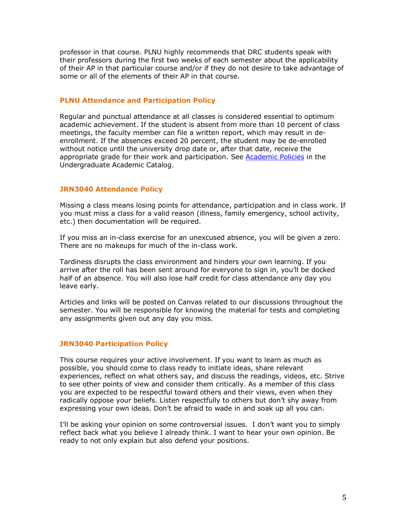professor in that course. PLNU highly recommends that DRC students speak with their professors during the first two weeks of each semester about the applicability of their AP in that particular course and/or if they do not desire to take advantage of some or all of the elements of their AP in that course.

# **PLNU Attendance and Participation Policy**

Regular and punctual attendance at all classes is considered essential to optimum academic achievement. If the student is absent from more than 10 percent of class meetings, the faculty member can file a written report, which may result in deenrollment. If the absences exceed 20 percent, the student may be de-enrolled without notice until the university drop date or, after that date, receive the appropriate grade for their work and participation. See **Academic Policies** in the Undergraduate Academic Catalog.

# **JRN3040 Attendance Policy**

Missing a class means losing points for attendance, participation and in class work. If you must miss a class for a valid reason (illness, family emergency, school activity, etc.) then documentation will be required.

If you miss an in-class exercise for an unexcused absence, you will be given a zero. There are no makeups for much of the in-class work.

Tardiness disrupts the class environment and hinders your own learning. If you arrive after the roll has been sent around for everyone to sign in, you'll be docked half of an absence. You will also lose half credit for class attendance any day you leave early.

Articles and links will be posted on Canvas related to our discussions throughout the semester. You will be responsible for knowing the material for tests and completing any assignments given out any day you miss.

# **JRN3040 Participation Policy**

This course requires your active involvement. If you want to learn as much as possible, you should come to class ready to initiate ideas, share relevant experiences, reflect on what others say, and discuss the readings, videos, etc. Strive to see other points of view and consider them critically. As a member of this class you are expected to be respectful toward others and their views, even when they radically oppose your beliefs. Listen respectfully to others but don't shy away from expressing your own ideas. Don't be afraid to wade in and soak up all you can.

I'll be asking your opinion on some controversial issues. I don't want you to simply reflect back what you believe I already think. I want to hear your own opinion. Be ready to not only explain but also defend your positions.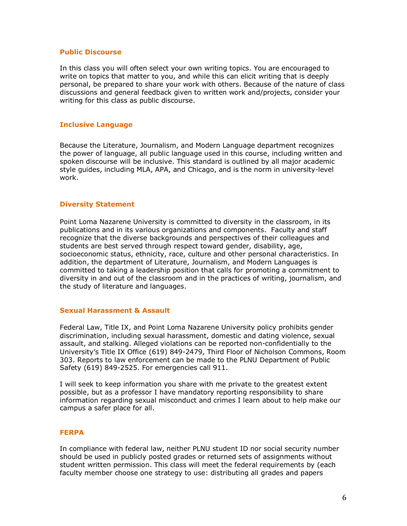#### **Public Discourse**

In this class you will often select your own writing topics. You are encouraged to write on topics that matter to you, and while this can elicit writing that is deeply personal, be prepared to share your work with others. Because of the nature of class discussions and general feedback given to written work and/projects, consider your writing for this class as public discourse.

# **Inclusive Language**

Because the Literature, Journalism, and Modern Language department recognizes the power of language, all public language used in this course, including written and spoken discourse will be inclusive. This standard is outlined by all major academic style guides, including MLA, APA, and Chicago, and is the norm in university-level work.

# **Diversity Statement**

Point Loma Nazarene University is committed to diversity in the classroom, in its publications and in its various organizations and components. Faculty and staff recognize that the diverse backgrounds and perspectives of their colleagues and students are best served through respect toward gender, disability, age, socioeconomic status, ethnicity, race, culture and other personal characteristics. In addition, the department of Literature, Journalism, and Modern Languages is committed to taking a leadership position that calls for promoting a commitment to diversity in and out of the classroom and in the practices of writing, journalism, and the study of literature and languages.

# **Sexual Harassment & Assault**

Federal Law, Title IX, and Point Loma Nazarene University policy prohibits gender discrimination, including sexual harassment, domestic and dating violence, sexual assault, and stalking. Alleged violations can be reported non-confidentially to the University's Title IX Office (619) 849-2479, Third Floor of Nicholson Commons, Room 303. Reports to law enforcement can be made to the PLNU Department of Public Safety (619) 849-2525. For emergencies call 911.

I will seek to keep information you share with me private to the greatest extent possible, but as a professor I have mandatory reporting responsibility to share information regarding sexual misconduct and crimes I learn about to help make our campus a safer place for all.

#### **FERPA**

In compliance with federal law, neither PLNU student ID nor social security number should be used in publicly posted grades or returned sets of assignments without student written permission. This class will meet the federal requirements by (each faculty member choose one strategy to use: distributing all grades and papers